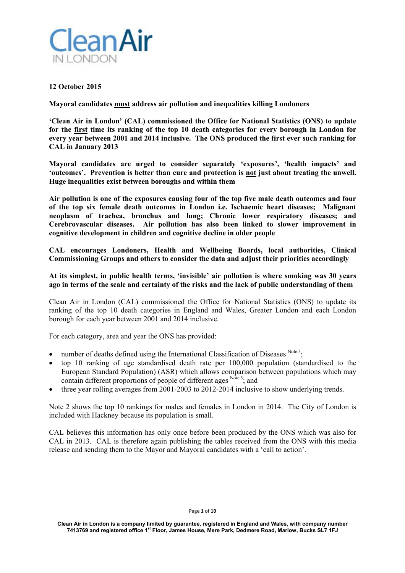

# **12 October 2015**

**Mayoral candidates must address air pollution and inequalities killing Londoners** 

**'Clean Air in London' (CAL) commissioned the Office for National Statistics (ONS) to update for the first time its ranking of the top 10 death categories for every borough in London for every year between 2001 and 2014 inclusive. The ONS produced the first ever such ranking for CAL in January 2013** 

**Mayoral candidates are urged to consider separately 'exposures', 'health impacts' and 'outcomes'. Prevention is better than cure and protection is not just about treating the unwell. Huge inequalities exist between boroughs and within them** 

**Air pollution is one of the exposures causing four of the top five male death outcomes and four of the top six female death outcomes in London i.e. Ischaemic heart diseases; Malignant neoplasm of trachea, bronchus and lung; Chronic lower respiratory diseases; and Cerebrovascular diseases. Air pollution has also been linked to slower improvement in cognitive development in children and cognitive decline in older people** 

**CAL encourages Londoners, Health and Wellbeing Boards, local authorities, Clinical Commissioning Groups and others to consider the data and adjust their priorities accordingly** 

# **At its simplest, in public health terms, 'invisible' air pollution is where smoking was 30 years ago in terms of the scale and certainty of the risks and the lack of public understanding of them**

Clean Air in London (CAL) commissioned the Office for National Statistics (ONS) to update its ranking of the top 10 death categories in England and Wales, Greater London and each London borough for each year between 2001 and 2014 inclusive.

For each category, area and year the ONS has provided:

- number of deaths defined using the International Classification of Diseases  $N<sup>ote 3</sup>$ ;
- top 10 ranking of age standardised death rate per 100,000 population (standardised to the European Standard Population) (ASR) which allows comparison between populations which may contain different proportions of people of different ages Note 3; and
- three year rolling averages from 2001-2003 to 2012-2014 inclusive to show underlying trends.

Note 2 shows the top 10 rankings for males and females in London in 2014. The City of London is included with Hackney because its population is small.

CAL believes this information has only once before been produced by the ONS which was also for CAL in 2013. CAL is therefore again publishing the tables received from the ONS with this media release and sending them to the Mayor and Mayoral candidates with a 'call to action'.

### Page **1** of **10**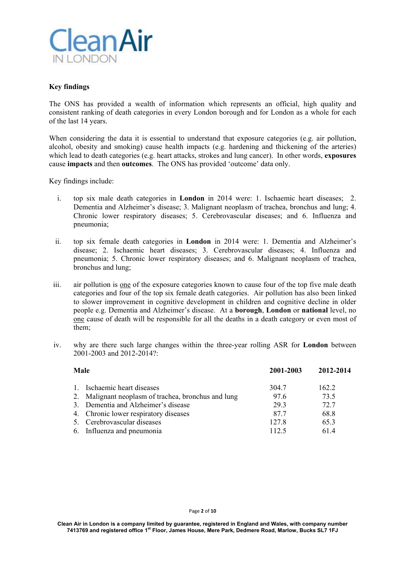

# **Key findings**

The ONS has provided a wealth of information which represents an official, high quality and consistent ranking of death categories in every London borough and for London as a whole for each of the last 14 years.

When considering the data it is essential to understand that exposure categories (e.g. air pollution, alcohol, obesity and smoking) cause health impacts (e.g. hardening and thickening of the arteries) which lead to death categories (e.g. heart attacks, strokes and lung cancer). In other words, **exposures** cause **impacts** and then **outcomes**. The ONS has provided 'outcome' data only.

Key findings include:

- i. top six male death categories in **London** in 2014 were: 1. Ischaemic heart diseases; 2. Dementia and Alzheimer's disease; 3. Malignant neoplasm of trachea, bronchus and lung; 4. Chronic lower respiratory diseases; 5. Cerebrovascular diseases; and 6. Influenza and pneumonia;
- ii. top six female death categories in **London** in 2014 were: 1. Dementia and Alzheimer's disease; 2. Ischaemic heart diseases; 3. Cerebrovascular diseases; 4. Influenza and pneumonia; 5. Chronic lower respiratory diseases; and 6. Malignant neoplasm of trachea, bronchus and lung;
- iii. air pollution is one of the exposure categories known to cause four of the top five male death categories and four of the top six female death categories. Air pollution has also been linked to slower improvement in cognitive development in children and cognitive decline in older people e.g. Dementia and Alzheimer's disease. At a **borough**, **London** or **national** level, no one cause of death will be responsible for all the deaths in a death category or even most of them;
- iv. why are there such large changes within the three-year rolling ASR for **London** between 2001-2003 and 2012-2014?:

| Male |                                                     | 2001-2003 | 2012-2014 |
|------|-----------------------------------------------------|-----------|-----------|
|      | 1. Ischaemic heart diseases                         | 304.7     | 162.2     |
|      | 2. Malignant neoplasm of trachea, bronchus and lung | 97.6      | 73.5      |
|      | 3. Dementia and Alzheimer's disease                 | 29.3      | 72.7      |
|      | 4. Chronic lower respiratory diseases               | 87.7      | 68.8      |
|      | 5. Cerebrovascular diseases                         | 127.8     | 65.3      |
|      | 6. Influenza and pneumonia                          | 112.5     | 61.4      |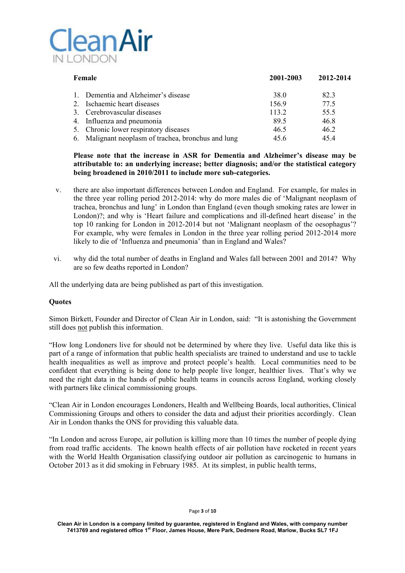

| Female                                                 | 2001-2003 | 2012-2014 |
|--------------------------------------------------------|-----------|-----------|
| Dementia and Alzheimer's disease                       | 38.0      | 82.3      |
| 2. Ischaemic heart diseases                            | 156.9     | 77.5      |
| 3. Cerebrovascular diseases                            | 113.2     | 55.5      |
| 4. Influenza and pneumonia                             | 89.5      | 46.8      |
| 5. Chronic lower respiratory diseases                  | 46.5      | 46.2      |
| Malignant neoplasm of trachea, bronchus and lung<br>6. | 45.6      | 45.4      |

# **Please note that the increase in ASR for Dementia and Alzheimer's disease may be attributable to: an underlying increase; better diagnosis; and/or the statistical category being broadened in 2010/2011 to include more sub-categories.**

- v. there are also important differences between London and England. For example, for males in the three year rolling period 2012-2014: why do more males die of 'Malignant neoplasm of trachea, bronchus and lung' in London than England (even though smoking rates are lower in London)?; and why is 'Heart failure and complications and ill-defined heart disease' in the top 10 ranking for London in 2012-2014 but not 'Malignant neoplasm of the oesophagus'? For example, why were females in London in the three year rolling period 2012-2014 more likely to die of 'Influenza and pneumonia' than in England and Wales?
- vi. why did the total number of deaths in England and Wales fall between 2001 and 2014? Why are so few deaths reported in London?

All the underlying data are being published as part of this investigation.

# **Quotes**

Simon Birkett, Founder and Director of Clean Air in London, said: "It is astonishing the Government still does not publish this information.

"How long Londoners live for should not be determined by where they live. Useful data like this is part of a range of information that public health specialists are trained to understand and use to tackle health inequalities as well as improve and protect people's health. Local communities need to be confident that everything is being done to help people live longer, healthier lives. That's why we need the right data in the hands of public health teams in councils across England, working closely with partners like clinical commissioning groups.

"Clean Air in London encourages Londoners, Health and Wellbeing Boards, local authorities, Clinical Commissioning Groups and others to consider the data and adjust their priorities accordingly. Clean Air in London thanks the ONS for providing this valuable data.

"In London and across Europe, air pollution is killing more than 10 times the number of people dying from road traffic accidents. The known health effects of air pollution have rocketed in recent years with the World Health Organisation classifying outdoor air pollution as carcinogenic to humans in October 2013 as it did smoking in February 1985. At its simplest, in public health terms,

### Page **3** of **10**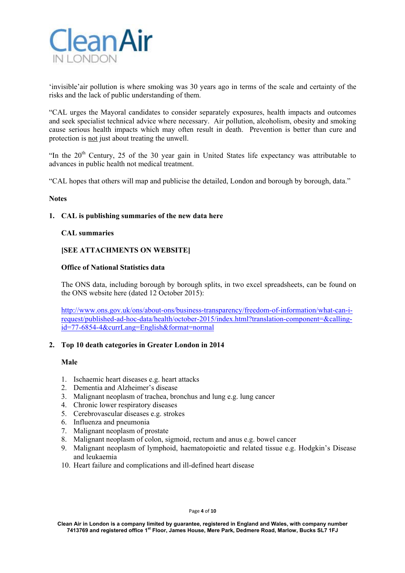

'invisible'air pollution is where smoking was 30 years ago in terms of the scale and certainty of the risks and the lack of public understanding of them.

"CAL urges the Mayoral candidates to consider separately exposures, health impacts and outcomes and seek specialist technical advice where necessary. Air pollution, alcoholism, obesity and smoking cause serious health impacts which may often result in death. Prevention is better than cure and protection is not just about treating the unwell.

"In the  $20<sup>th</sup>$  Century, 25 of the 30 year gain in United States life expectancy was attributable to advances in public health not medical treatment.

"CAL hopes that others will map and publicise the detailed, London and borough by borough, data."

## **Notes**

## **1. CAL is publishing summaries of the new data here**

### **CAL summaries**

# **[SEE ATTACHMENTS ON WEBSITE]**

### **Office of National Statistics data**

The ONS data, including borough by borough splits, in two excel spreadsheets, can be found on the ONS website here (dated 12 October 2015):

http://www.ons.gov.uk/ons/about-ons/business-transparency/freedom-of-information/what-can-irequest/published-ad-hoc-data/health/october-2015/index.html?translation-component=&callingid=77-6854-4&currLang=English&format=normal

### **2. Top 10 death categories in Greater London in 2014**

## **Male**

- 1. Ischaemic heart diseases e.g. heart attacks
- 2. Dementia and Alzheimer's disease
- 3. Malignant neoplasm of trachea, bronchus and lung e.g. lung cancer
- 4. Chronic lower respiratory diseases
- 5. Cerebrovascular diseases e.g. strokes
- 6. Influenza and pneumonia
- 7. Malignant neoplasm of prostate
- 8. Malignant neoplasm of colon, sigmoid, rectum and anus e.g. bowel cancer
- 9. Malignant neoplasm of lymphoid, haematopoietic and related tissue e.g. Hodgkin's Disease and leukaemia
- 10. Heart failure and complications and ill-defined heart disease

### Page **4** of **10**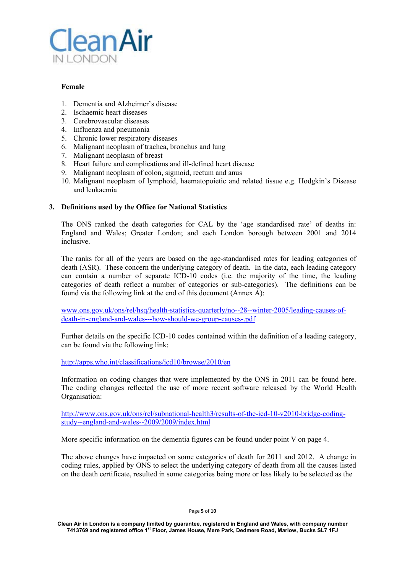

# **Female**

- 1. Dementia and Alzheimer's disease
- 2. Ischaemic heart diseases
- 3. Cerebrovascular diseases
- 4. Influenza and pneumonia
- 5. Chronic lower respiratory diseases
- 6. Malignant neoplasm of trachea, bronchus and lung
- 7. Malignant neoplasm of breast
- 8. Heart failure and complications and ill-defined heart disease
- 9. Malignant neoplasm of colon, sigmoid, rectum and anus
- 10. Malignant neoplasm of lymphoid, haematopoietic and related tissue e.g. Hodgkin's Disease and leukaemia

# **3. Definitions used by the Office for National Statistics**

The ONS ranked the death categories for CAL by the 'age standardised rate' of deaths in: England and Wales; Greater London; and each London borough between 2001 and 2014 inclusive.

The ranks for all of the years are based on the age-standardised rates for leading categories of death (ASR). These concern the underlying category of death. In the data, each leading category can contain a number of separate ICD-10 codes (i.e. the majority of the time, the leading categories of death reflect a number of categories or sub-categories). The definitions can be found via the following link at the end of this document (Annex A):

www.ons.gov.uk/ons/rel/hsq/health-statistics-quarterly/no--28--winter-2005/leading-causes-ofdeath-in-england-and-wales---how-should-we-group-causes-.pdf

Further details on the specific ICD-10 codes contained within the definition of a leading category, can be found via the following link:

http://apps.who.int/classifications/icd10/browse/2010/en

Information on coding changes that were implemented by the ONS in 2011 can be found here. The coding changes reflected the use of more recent software released by the World Health Organisation:

http://www.ons.gov.uk/ons/rel/subnational-health3/results-of-the-icd-10-v2010-bridge-codingstudy--england-and-wales--2009/2009/index.html

More specific information on the dementia figures can be found under point V on page 4.

The above changes have impacted on some categories of death for 2011 and 2012. A change in coding rules, applied by ONS to select the underlying category of death from all the causes listed on the death certificate, resulted in some categories being more or less likely to be selected as the

Page **5** of **10**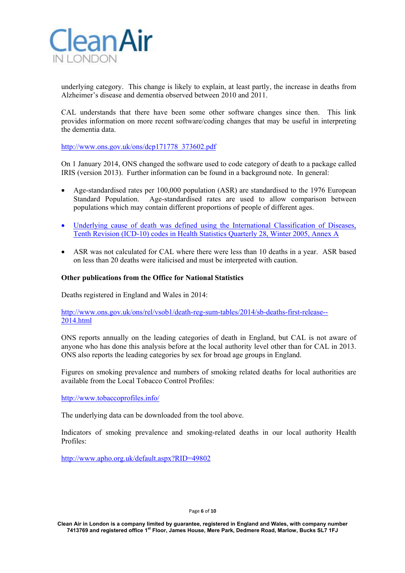

underlying category. This change is likely to explain, at least partly, the increase in deaths from Alzheimer's disease and dementia observed between 2010 and 2011.

CAL understands that there have been some other software changes since then. This link provides information on more recent software/coding changes that may be useful in interpreting the dementia data.

http://www.ons.gov.uk/ons/dcp171778\_373602.pdf

On 1 January 2014, ONS changed the software used to code category of death to a package called IRIS (version 2013). Further information can be found in a background note. In general:

- Age-standardised rates per 100,000 population (ASR) are standardised to the 1976 European Standard Population. Age-standardised rates are used to allow comparison between populations which may contain different proportions of people of different ages.
- Underlying cause of death was defined using the International Classification of Diseases, Tenth Revision (ICD-10) codes in Health Statistics Quarterly 28, Winter 2005, Annex A
- ASR was not calculated for CAL where there were less than 10 deaths in a year. ASR based on less than 20 deaths were italicised and must be interpreted with caution.

# **Other publications from the Office for National Statistics**

Deaths registered in England and Wales in 2014:

http://www.ons.gov.uk/ons/rel/vsob1/death-reg-sum-tables/2014/sb-deaths-first-release-- 2014.html

ONS reports annually on the leading categories of death in England, but CAL is not aware of anyone who has done this analysis before at the local authority level other than for CAL in 2013. ONS also reports the leading categories by sex for broad age groups in England.

Figures on smoking prevalence and numbers of smoking related deaths for local authorities are available from the Local Tobacco Control Profiles:

http://www.tobaccoprofiles.info/

The underlying data can be downloaded from the tool above.

Indicators of smoking prevalence and smoking-related deaths in our local authority Health Profiles:

http://www.apho.org.uk/default.aspx?RID=49802

Page **6** of **10**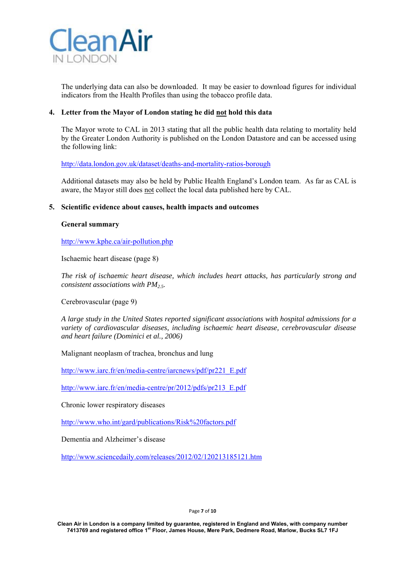

The underlying data can also be downloaded. It may be easier to download figures for individual indicators from the Health Profiles than using the tobacco profile data.

# **4. Letter from the Mayor of London stating he did not hold this data**

The Mayor wrote to CAL in 2013 stating that all the public health data relating to mortality held by the Greater London Authority is published on the London Datastore and can be accessed using the following link:

http://data.london.gov.uk/dataset/deaths-and-mortality-ratios-borough

Additional datasets may also be held by Public Health England's London team. As far as CAL is aware, the Mayor still does not collect the local data published here by CAL.

# **5. Scientific evidence about causes, health impacts and outcomes**

## **General summary**

http://www.kphe.ca/air-pollution.php

Ischaemic heart disease (page 8)

*The risk of ischaemic heart disease, which includes heart attacks, has particularly strong and consistent associations with PM2.5.* 

Cerebrovascular (page 9)

*A large study in the United States reported significant associations with hospital admissions for a variety of cardiovascular diseases, including ischaemic heart disease, cerebrovascular disease and heart failure (Dominici et al., 2006)* 

Malignant neoplasm of trachea, bronchus and lung

http://www.iarc.fr/en/media-centre/iarcnews/pdf/pr221\_E.pdf

http://www.iarc.fr/en/media-centre/pr/2012/pdfs/pr213\_E.pdf

Chronic lower respiratory diseases

http://www.who.int/gard/publications/Risk%20factors.pdf

Dementia and Alzheimer's disease

http://www.sciencedaily.com/releases/2012/02/120213185121.htm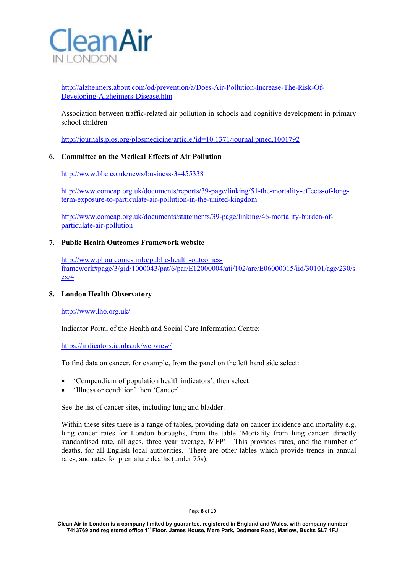

http://alzheimers.about.com/od/prevention/a/Does-Air-Pollution-Increase-The-Risk-Of-Developing-Alzheimers-Disease.htm

Association between traffic-related air pollution in schools and cognitive development in primary school children

http://journals.plos.org/plosmedicine/article?id=10.1371/journal.pmed.1001792

# **6. Committee on the Medical Effects of Air Pollution**

http://www.bbc.co.uk/news/business-34455338

http://www.comeap.org.uk/documents/reports/39-page/linking/51-the-mortality-effects-of-longterm-exposure-to-particulate-air-pollution-in-the-united-kingdom

http://www.comeap.org.uk/documents/statements/39-page/linking/46-mortality-burden-ofparticulate-air-pollution

## **7. Public Health Outcomes Framework website**

http://www.phoutcomes.info/public-health-outcomesframework#page/3/gid/1000043/pat/6/par/E12000004/ati/102/are/E06000015/iid/30101/age/230/s ex/4

## **8. London Health Observatory**

http://www.lho.org.uk/

Indicator Portal of the Health and Social Care Information Centre:

https://indicators.ic.nhs.uk/webview/

To find data on cancer, for example, from the panel on the left hand side select:

- 'Compendium of population health indicators'; then select
- 'Illness or condition' then 'Cancer'.

See the list of cancer sites, including lung and bladder.

Within these sites there is a range of tables, providing data on cancer incidence and mortality e.g. lung cancer rates for London boroughs, from the table 'Mortality from lung cancer: directly standardised rate, all ages, three year average, MFP'. This provides rates, and the number of deaths, for all English local authorities. There are other tables which provide trends in annual rates, and rates for premature deaths (under 75s).

#### Page **8** of **10**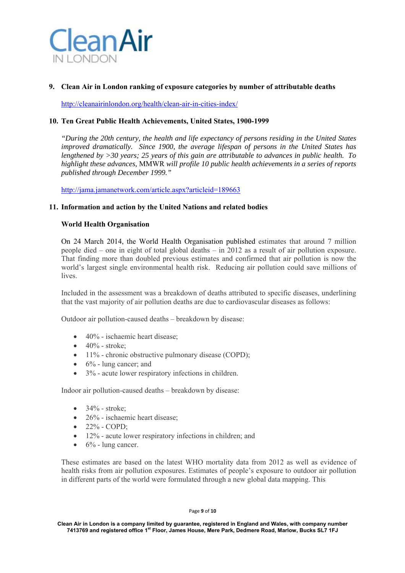

# **9. Clean Air in London ranking of exposure categories by number of attributable deaths**

http://cleanairinlondon.org/health/clean-air-in-cities-index/

# **10. Ten Great Public Health Achievements, United States, 1900-1999**

*"During the 20th century, the health and life expectancy of persons residing in the United States improved dramatically. Since 1900, the average lifespan of persons in the United States has lengthened by >30 years; 25 years of this gain are attributable to advances in public health. To highlight these advances,* MMWR *will profile 10 public health achievements in a series of reports published through December 1999."* 

http://jama.jamanetwork.com/article.aspx?articleid=189663

## **11. Information and action by the United Nations and related bodies**

# **World Health Organisation**

On 24 March 2014, the World Health Organisation published estimates that around 7 million people died – one in eight of total global deaths – in 2012 as a result of air pollution exposure. That finding more than doubled previous estimates and confirmed that air pollution is now the world's largest single environmental health risk. Reducing air pollution could save millions of lives.

Included in the assessment was a breakdown of deaths attributed to specific diseases, underlining that the vast majority of air pollution deaths are due to cardiovascular diseases as follows:

Outdoor air pollution-caused deaths – breakdown by disease:

- $\bullet$  40% ischaemic heart disease:
- $\bullet$  40% stroke;
- $\bullet$  11% chronic obstructive pulmonary disease (COPD);
- $\bullet$  6% lung cancer; and
- 3% acute lower respiratory infections in children.

Indoor air pollution-caused deaths – breakdown by disease:

- $\bullet$  34% stroke:
- 26% ischaemic heart disease;
- $\bullet$  22% COPD;
- 12% acute lower respiratory infections in children; and
- 6% lung cancer.

These estimates are based on the latest WHO mortality data from 2012 as well as evidence of health risks from air pollution exposures. Estimates of people's exposure to outdoor air pollution in different parts of the world were formulated through a new global data mapping. This

### Page **9** of **10**

**Clean Air in London is a company limited by guarantee, registered in England and Wales, with company number 7413769 and registered office 1st Floor, James House, Mere Park, Dedmere Road, Marlow, Bucks SL7 1FJ**